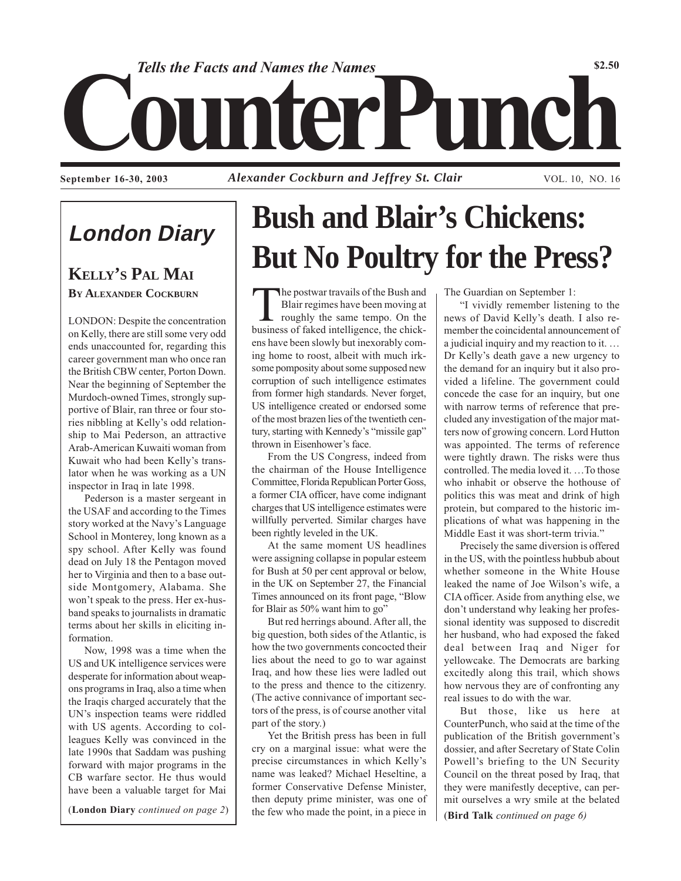

*Alexander Cockburn and Jeffrey St. Clair* **September 16-30, 2003** VOL. 10, NO. 16

# **London Diary**

### **KELLY'S PAL MAI BY ALEXANDER COCKBURN**

LONDON: Despite the concentration on Kelly, there are still some very odd ends unaccounted for, regarding this career government man who once ran the British CBW center, Porton Down. Near the beginning of September the Murdoch-owned Times, strongly supportive of Blair, ran three or four stories nibbling at Kelly's odd relationship to Mai Pederson, an attractive Arab-American Kuwaiti woman from Kuwait who had been Kelly's translator when he was working as a UN inspector in Iraq in late 1998.

Pederson is a master sergeant in the USAF and according to the Times story worked at the Navy's Language School in Monterey, long known as a spy school. After Kelly was found dead on July 18 the Pentagon moved her to Virginia and then to a base outside Montgomery, Alabama. She won't speak to the press. Her ex-husband speaks to journalists in dramatic terms about her skills in eliciting information.

Now, 1998 was a time when the US and UK intelligence services were desperate for information about weapons programs in Iraq, also a time when the Iraqis charged accurately that the UN's inspection teams were riddled with US agents. According to colleagues Kelly was convinced in the late 1990s that Saddam was pushing forward with major programs in the CB warfare sector. He thus would have been a valuable target for Mai

(**London Diary** *continued on page 2*)

# **Bush and Blair's Chickens: But No Poultry for the Press?**

The postwar travails of the Bush and<br>Blair regimes have been moving at<br>roughly the same tempo. On the<br>business of faked intelligence, the chick-Blair regimes have been moving at roughly the same tempo. On the business of faked intelligence, the chickens have been slowly but inexorably coming home to roost, albeit with much irksome pomposity about some supposed new corruption of such intelligence estimates from former high standards. Never forget, US intelligence created or endorsed some of the most brazen lies of the twentieth century, starting with Kennedy's "missile gap" thrown in Eisenhower's face.

From the US Congress, indeed from the chairman of the House Intelligence Committee, Florida Republican Porter Goss, a former CIA officer, have come indignant charges that US intelligence estimates were willfully perverted. Similar charges have been rightly leveled in the UK.

At the same moment US headlines were assigning collapse in popular esteem for Bush at 50 per cent approval or below, in the UK on September 27, the Financial Times announced on its front page, "Blow for Blair as 50% want him to go"

But red herrings abound. After all, the big question, both sides of the Atlantic, is how the two governments concocted their lies about the need to go to war against Iraq, and how these lies were ladled out to the press and thence to the citizenry. (The active connivance of important sectors of the press, is of course another vital part of the story.)

Yet the British press has been in full cry on a marginal issue: what were the precise circumstances in which Kelly's name was leaked? Michael Heseltine, a former Conservative Defense Minister, then deputy prime minister, was one of the few who made the point, in a piece in The Guardian on September 1:

"I vividly remember listening to the news of David Kelly's death. I also remember the coincidental announcement of a judicial inquiry and my reaction to it. … Dr Kelly's death gave a new urgency to the demand for an inquiry but it also provided a lifeline. The government could concede the case for an inquiry, but one with narrow terms of reference that precluded any investigation of the major matters now of growing concern. Lord Hutton was appointed. The terms of reference were tightly drawn. The risks were thus controlled. The media loved it. …To those who inhabit or observe the hothouse of politics this was meat and drink of high protein, but compared to the historic implications of what was happening in the Middle East it was short-term trivia."

Precisely the same diversion is offered in the US, with the pointless hubbub about whether someone in the White House leaked the name of Joe Wilson's wife, a CIA officer. Aside from anything else, we don't understand why leaking her professional identity was supposed to discredit her husband, who had exposed the faked deal between Iraq and Niger for yellowcake. The Democrats are barking excitedly along this trail, which shows how nervous they are of confronting any real issues to do with the war.

But those, like us here at CounterPunch, who said at the time of the publication of the British government's dossier, and after Secretary of State Colin Powell's briefing to the UN Security Council on the threat posed by Iraq, that they were manifestly deceptive, can permit ourselves a wry smile at the belated

(**Bird Talk** *continued on page 6)*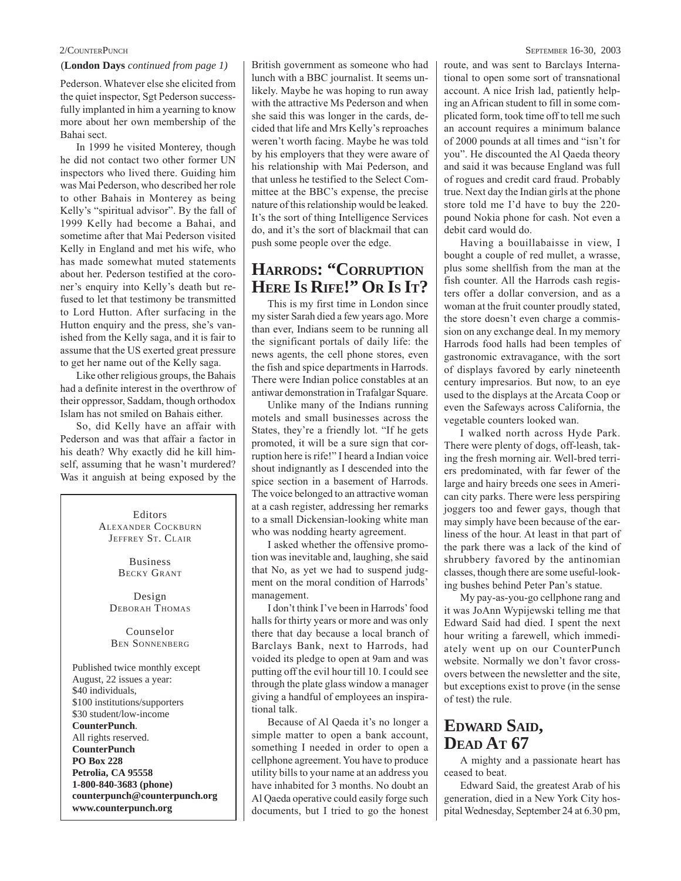### (**London Days** *continued from page 1)*

Pederson. Whatever else she elicited from the quiet inspector, Sgt Pederson successfully implanted in him a yearning to know more about her own membership of the Bahai sect.

In 1999 he visited Monterey, though he did not contact two other former UN inspectors who lived there. Guiding him was Mai Pederson, who described her role to other Bahais in Monterey as being Kelly's "spiritual advisor". By the fall of 1999 Kelly had become a Bahai, and sometime after that Mai Pederson visited Kelly in England and met his wife, who has made somewhat muted statements about her. Pederson testified at the coroner's enquiry into Kelly's death but refused to let that testimony be transmitted to Lord Hutton. After surfacing in the Hutton enquiry and the press, she's vanished from the Kelly saga, and it is fair to assume that the US exerted great pressure to get her name out of the Kelly saga.

Like other religious groups, the Bahais had a definite interest in the overthrow of their oppressor, Saddam, though orthodox Islam has not smiled on Bahais either.

So, did Kelly have an affair with Pederson and was that affair a factor in his death? Why exactly did he kill himself, assuming that he wasn't murdered? Was it anguish at being exposed by the

Editors ALEXANDER COCKBURN JEFFREY ST. CLAIR Business BECKY GRANT Design DEBORAH THOMAS Counselor BEN SONNENBERG Published twice monthly except August, 22 issues a year: \$40 individuals, \$100 institutions/supporters \$30 student/low-income **CounterPunch**. All rights reserved. **CounterPunch PO Box 228 Petrolia, CA 95558 1-800-840-3683 (phone) counterpunch@counterpunch.org www.counterpunch.org**

British government as someone who had lunch with a BBC journalist. It seems unlikely. Maybe he was hoping to run away with the attractive Ms Pederson and when she said this was longer in the cards, decided that life and Mrs Kelly's reproaches weren't worth facing. Maybe he was told by his employers that they were aware of his relationship with Mai Pederson, and that unless he testified to the Select Committee at the BBC's expense, the precise nature of this relationship would be leaked. It's the sort of thing Intelligence Services do, and it's the sort of blackmail that can push some people over the edge.

### **HARRODS: "CORRUPTION HERE IS RIFE!" OR IS IT?**

This is my first time in London since my sister Sarah died a few years ago. More than ever, Indians seem to be running all the significant portals of daily life: the news agents, the cell phone stores, even the fish and spice departments in Harrods. There were Indian police constables at an antiwar demonstration in Trafalgar Square.

Unlike many of the Indians running motels and small businesses across the States, they're a friendly lot. "If he gets promoted, it will be a sure sign that corruption here is rife!" I heard a Indian voice shout indignantly as I descended into the spice section in a basement of Harrods. The voice belonged to an attractive woman at a cash register, addressing her remarks to a small Dickensian-looking white man who was nodding hearty agreement.

I asked whether the offensive promotion was inevitable and, laughing, she said that No, as yet we had to suspend judgment on the moral condition of Harrods' management.

I don't think I've been in Harrods' food halls for thirty years or more and was only there that day because a local branch of Barclays Bank, next to Harrods, had voided its pledge to open at 9am and was putting off the evil hour till 10. I could see through the plate glass window a manager giving a handful of employees an inspirational talk.

Because of Al Qaeda it's no longer a simple matter to open a bank account, something I needed in order to open a cellphone agreement. You have to produce utility bills to your name at an address you have inhabited for 3 months. No doubt an Al Qaeda operative could easily forge such documents, but I tried to go the honest

2/COUNTERPUNCH SEPTEMBER 16-30, 2003

route, and was sent to Barclays International to open some sort of transnational account. A nice Irish lad, patiently helping an African student to fill in some complicated form, took time off to tell me such an account requires a minimum balance of 2000 pounds at all times and "isn't for you". He discounted the Al Qaeda theory and said it was because England was full of rogues and credit card fraud. Probably true. Next day the Indian girls at the phone store told me I'd have to buy the 220 pound Nokia phone for cash. Not even a debit card would do.

Having a bouillabaisse in view, I bought a couple of red mullet, a wrasse, plus some shellfish from the man at the fish counter. All the Harrods cash registers offer a dollar conversion, and as a woman at the fruit counter proudly stated, the store doesn't even charge a commission on any exchange deal. In my memory Harrods food halls had been temples of gastronomic extravagance, with the sort of displays favored by early nineteenth century impresarios. But now, to an eye used to the displays at the Arcata Coop or even the Safeways across California, the vegetable counters looked wan.

I walked north across Hyde Park. There were plenty of dogs, off-leash, taking the fresh morning air. Well-bred terriers predominated, with far fewer of the large and hairy breeds one sees in American city parks. There were less perspiring joggers too and fewer gays, though that may simply have been because of the earliness of the hour. At least in that part of the park there was a lack of the kind of shrubbery favored by the antinomian classes, though there are some useful-looking bushes behind Peter Pan's statue.

My pay-as-you-go cellphone rang and it was JoAnn Wypijewski telling me that Edward Said had died. I spent the next hour writing a farewell, which immediately went up on our CounterPunch website. Normally we don't favor crossovers between the newsletter and the site, but exceptions exist to prove (in the sense of test) the rule.

### **EDWARD SAID, DEAD AT 67**

A mighty and a passionate heart has ceased to beat.

Edward Said, the greatest Arab of his generation, died in a New York City hospital Wednesday, September 24 at 6.30 pm,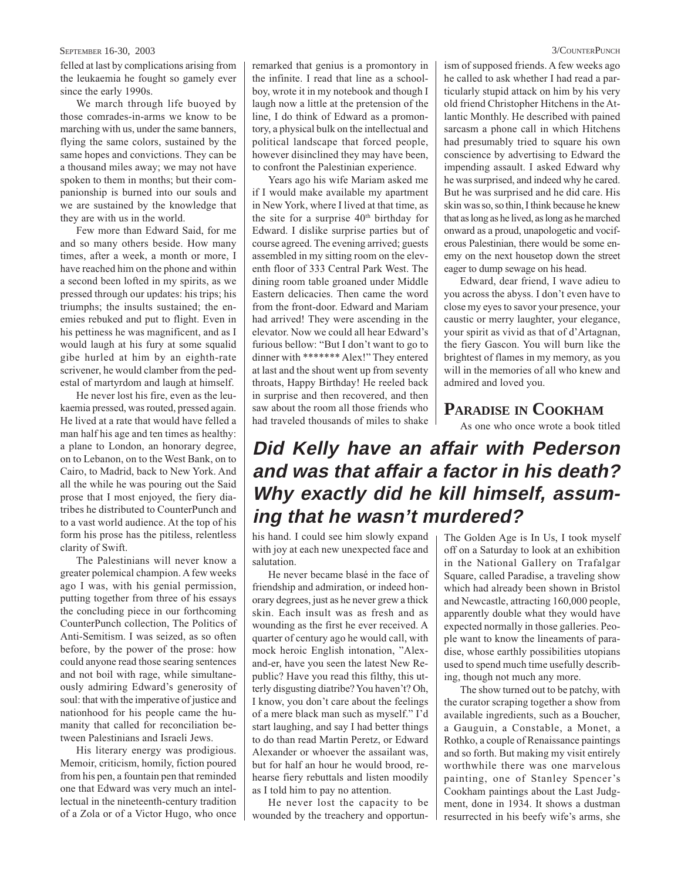### SEPTEMBER 16-30, 2003 3/COUNTERPUNCH

felled at last by complications arising from the leukaemia he fought so gamely ever since the early 1990s.

We march through life buoyed by those comrades-in-arms we know to be marching with us, under the same banners, flying the same colors, sustained by the same hopes and convictions. They can be a thousand miles away; we may not have spoken to them in months; but their companionship is burned into our souls and we are sustained by the knowledge that they are with us in the world.

Few more than Edward Said, for me and so many others beside. How many times, after a week, a month or more, I have reached him on the phone and within a second been lofted in my spirits, as we pressed through our updates: his trips; his triumphs; the insults sustained; the enemies rebuked and put to flight. Even in his pettiness he was magnificent, and as I would laugh at his fury at some squalid gibe hurled at him by an eighth-rate scrivener, he would clamber from the pedestal of martyrdom and laugh at himself.

He never lost his fire, even as the leukaemia pressed, was routed, pressed again. He lived at a rate that would have felled a man half his age and ten times as healthy: a plane to London, an honorary degree, on to Lebanon, on to the West Bank, on to Cairo, to Madrid, back to New York. And all the while he was pouring out the Said prose that I most enjoyed, the fiery diatribes he distributed to CounterPunch and to a vast world audience. At the top of his form his prose has the pitiless, relentless clarity of Swift.

The Palestinians will never know a greater polemical champion. A few weeks ago I was, with his genial permission, putting together from three of his essays the concluding piece in our forthcoming CounterPunch collection, The Politics of Anti-Semitism. I was seized, as so often before, by the power of the prose: how could anyone read those searing sentences and not boil with rage, while simultaneously admiring Edward's generosity of soul: that with the imperative of justice and nationhood for his people came the humanity that called for reconciliation between Palestinians and Israeli Jews.

His literary energy was prodigious. Memoir, criticism, homily, fiction poured from his pen, a fountain pen that reminded one that Edward was very much an intellectual in the nineteenth-century tradition of a Zola or of a Victor Hugo, who once remarked that genius is a promontory in the infinite. I read that line as a schoolboy, wrote it in my notebook and though I laugh now a little at the pretension of the line, I do think of Edward as a promontory, a physical bulk on the intellectual and political landscape that forced people, however disinclined they may have been, to confront the Palestinian experience.

Years ago his wife Mariam asked me if I would make available my apartment in New York, where I lived at that time, as the site for a surprise  $40<sup>th</sup>$  birthday for Edward. I dislike surprise parties but of course agreed. The evening arrived; guests assembled in my sitting room on the eleventh floor of 333 Central Park West. The dining room table groaned under Middle Eastern delicacies. Then came the word from the front-door. Edward and Mariam had arrived! They were ascending in the elevator. Now we could all hear Edward's furious bellow: "But I don't want to go to dinner with \*\*\*\*\*\*\* Alex!" They entered at last and the shout went up from seventy throats, Happy Birthday! He reeled back in surprise and then recovered, and then saw about the room all those friends who had traveled thousands of miles to shake

ism of supposed friends. A few weeks ago he called to ask whether I had read a particularly stupid attack on him by his very old friend Christopher Hitchens in the Atlantic Monthly. He described with pained sarcasm a phone call in which Hitchens had presumably tried to square his own conscience by advertising to Edward the impending assault. I asked Edward why he was surprised, and indeed why he cared. But he was surprised and he did care. His skin was so, so thin, I think because he knew that as long as he lived, as long as he marched onward as a proud, unapologetic and vociferous Palestinian, there would be some enemy on the next housetop down the street eager to dump sewage on his head.

Edward, dear friend, I wave adieu to you across the abyss. I don't even have to close my eyes to savor your presence, your caustic or merry laughter, your elegance, your spirit as vivid as that of d'Artagnan, the fiery Gascon. You will burn like the brightest of flames in my memory, as you will in the memories of all who knew and admired and loved you.

### **PARADISE IN COOKHAM**

As one who once wrote a book titled

# **Did Kelly have an affair with Pederson and was that affair a factor in his death? Why exactly did he kill himself, assuming that he wasn't murdered?**

his hand. I could see him slowly expand with joy at each new unexpected face and salutation.

He never became blasé in the face of friendship and admiration, or indeed honorary degrees, just as he never grew a thick skin. Each insult was as fresh and as wounding as the first he ever received. A quarter of century ago he would call, with mock heroic English intonation, "Alexand-er, have you seen the latest New Republic? Have you read this filthy, this utterly disgusting diatribe? You haven't? Oh, I know, you don't care about the feelings of a mere black man such as myself." I'd start laughing, and say I had better things to do than read Martin Peretz, or Edward Alexander or whoever the assailant was, but for half an hour he would brood, rehearse fiery rebuttals and listen moodily as I told him to pay no attention.

He never lost the capacity to be wounded by the treachery and opportunThe Golden Age is In Us, I took myself off on a Saturday to look at an exhibition in the National Gallery on Trafalgar Square, called Paradise, a traveling show which had already been shown in Bristol and Newcastle, attracting 160,000 people, apparently double what they would have expected normally in those galleries. People want to know the lineaments of paradise, whose earthly possibilities utopians used to spend much time usefully describing, though not much any more.

The show turned out to be patchy, with the curator scraping together a show from available ingredients, such as a Boucher, a Gauguin, a Constable, a Monet, a Rothko, a couple of Renaissance paintings and so forth. But making my visit entirely worthwhile there was one marvelous painting, one of Stanley Spencer's Cookham paintings about the Last Judgment, done in 1934. It shows a dustman resurrected in his beefy wife's arms, she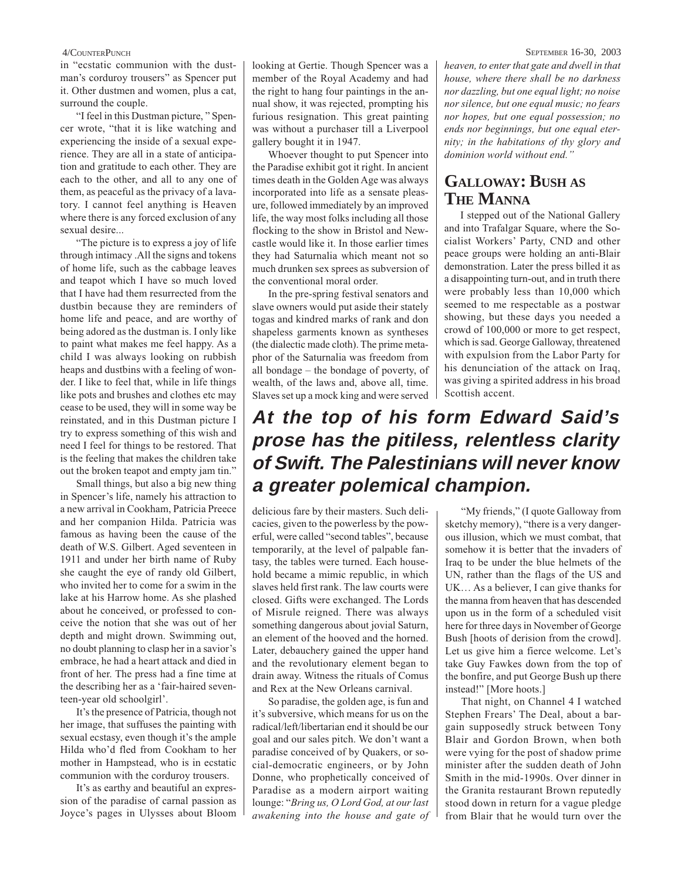### 4/COUNTERPUNCH SEPTEMBER 16-30, 2003

in "ecstatic communion with the dustman's corduroy trousers" as Spencer put it. Other dustmen and women, plus a cat, surround the couple.

"I feel in this Dustman picture, " Spencer wrote, "that it is like watching and experiencing the inside of a sexual experience. They are all in a state of anticipation and gratitude to each other. They are each to the other, and all to any one of them, as peaceful as the privacy of a lavatory. I cannot feel anything is Heaven where there is any forced exclusion of any sexual desire...

"The picture is to express a joy of life through intimacy .All the signs and tokens of home life, such as the cabbage leaves and teapot which I have so much loved that I have had them resurrected from the dustbin because they are reminders of home life and peace, and are worthy of being adored as the dustman is. I only like to paint what makes me feel happy. As a child I was always looking on rubbish heaps and dustbins with a feeling of wonder. I like to feel that, while in life things like pots and brushes and clothes etc may cease to be used, they will in some way be reinstated, and in this Dustman picture I try to express something of this wish and need I feel for things to be restored. That is the feeling that makes the children take out the broken teapot and empty jam tin."

Small things, but also a big new thing in Spencer's life, namely his attraction to a new arrival in Cookham, Patricia Preece and her companion Hilda. Patricia was famous as having been the cause of the death of W.S. Gilbert. Aged seventeen in 1911 and under her birth name of Ruby she caught the eye of randy old Gilbert, who invited her to come for a swim in the lake at his Harrow home. As she plashed about he conceived, or professed to conceive the notion that she was out of her depth and might drown. Swimming out, no doubt planning to clasp her in a savior's embrace, he had a heart attack and died in front of her. The press had a fine time at the describing her as a 'fair-haired seventeen-year old schoolgirl'.

It's the presence of Patricia, though not her image, that suffuses the painting with sexual ecstasy, even though it's the ample Hilda who'd fled from Cookham to her mother in Hampstead, who is in ecstatic communion with the corduroy trousers.

It's as earthy and beautiful an expression of the paradise of carnal passion as Joyce's pages in Ulysses about Bloom looking at Gertie. Though Spencer was a member of the Royal Academy and had the right to hang four paintings in the annual show, it was rejected, prompting his furious resignation. This great painting was without a purchaser till a Liverpool gallery bought it in 1947.

Whoever thought to put Spencer into the Paradise exhibit got it right. In ancient times death in the Golden Age was always incorporated into life as a sensate pleasure, followed immediately by an improved life, the way most folks including all those flocking to the show in Bristol and Newcastle would like it. In those earlier times they had Saturnalia which meant not so much drunken sex sprees as subversion of the conventional moral order.

In the pre-spring festival senators and slave owners would put aside their stately togas and kindred marks of rank and don shapeless garments known as syntheses (the dialectic made cloth). The prime metaphor of the Saturnalia was freedom from all bondage – the bondage of poverty, of wealth, of the laws and, above all, time. Slaves set up a mock king and were served *heaven, to enter that gate and dwell in that house, where there shall be no darkness nor dazzling, but one equal light; no noise nor silence, but one equal music; no fears nor hopes, but one equal possession; no ends nor beginnings, but one equal eternity; in the habitations of thy glory and dominion world without end."*

### **GALLOWAY: BUSH AS THE MANNA**

I stepped out of the National Gallery and into Trafalgar Square, where the Socialist Workers' Party, CND and other peace groups were holding an anti-Blair demonstration. Later the press billed it as a disappointing turn-out, and in truth there were probably less than 10,000 which seemed to me respectable as a postwar showing, but these days you needed a crowd of 100,000 or more to get respect, which is sad. George Galloway, threatened with expulsion from the Labor Party for his denunciation of the attack on Iraq, was giving a spirited address in his broad Scottish accent.

# **At the top of his form Edward Said's prose has the pitiless, relentless clarity of Swift. The Palestinians will never know a greater polemical champion.**

delicious fare by their masters. Such delicacies, given to the powerless by the powerful, were called "second tables", because temporarily, at the level of palpable fantasy, the tables were turned. Each household became a mimic republic, in which slaves held first rank. The law courts were closed. Gifts were exchanged. The Lords of Misrule reigned. There was always something dangerous about jovial Saturn, an element of the hooved and the horned. Later, debauchery gained the upper hand and the revolutionary element began to drain away. Witness the rituals of Comus and Rex at the New Orleans carnival.

So paradise, the golden age, is fun and it's subversive, which means for us on the radical/left/libertarian end it should be our goal and our sales pitch. We don't want a paradise conceived of by Quakers, or social-democratic engineers, or by John Donne, who prophetically conceived of Paradise as a modern airport waiting lounge: "*Bring us, O Lord God, at our last awakening into the house and gate of*

"My friends," (I quote Galloway from sketchy memory), "there is a very dangerous illusion, which we must combat, that somehow it is better that the invaders of Iraq to be under the blue helmets of the UN, rather than the flags of the US and UK… As a believer, I can give thanks for the manna from heaven that has descended upon us in the form of a scheduled visit here for three days in November of George Bush [hoots of derision from the crowd]. Let us give him a fierce welcome. Let's take Guy Fawkes down from the top of the bonfire, and put George Bush up there instead!" [More hoots.]

That night, on Channel 4 I watched Stephen Frears' The Deal, about a bargain supposedly struck between Tony Blair and Gordon Brown, when both were vying for the post of shadow prime minister after the sudden death of John Smith in the mid-1990s. Over dinner in the Granita restaurant Brown reputedly stood down in return for a vague pledge from Blair that he would turn over the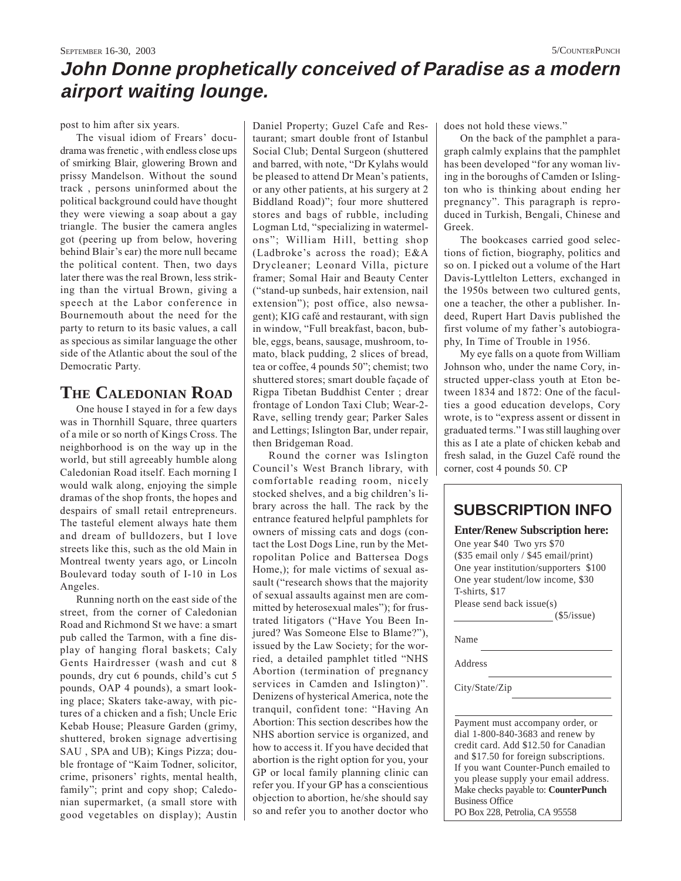# **John Donne prophetically conceived of Paradise as a modern airport waiting lounge.**

post to him after six years.

The visual idiom of Frears' docudrama was frenetic , with endless close ups of smirking Blair, glowering Brown and prissy Mandelson. Without the sound track , persons uninformed about the political background could have thought they were viewing a soap about a gay triangle. The busier the camera angles got (peering up from below, hovering behind Blair's ear) the more null became the political content. Then, two days later there was the real Brown, less striking than the virtual Brown, giving a speech at the Labor conference in Bournemouth about the need for the party to return to its basic values, a call as specious as similar language the other side of the Atlantic about the soul of the Democratic Party.

### **THE CALEDONIAN ROAD**

One house I stayed in for a few days was in Thornhill Square, three quarters of a mile or so north of Kings Cross. The neighborhood is on the way up in the world, but still agreeably humble along Caledonian Road itself. Each morning I would walk along, enjoying the simple dramas of the shop fronts, the hopes and despairs of small retail entrepreneurs. The tasteful element always hate them and dream of bulldozers, but I love streets like this, such as the old Main in Montreal twenty years ago, or Lincoln Boulevard today south of I-10 in Los Angeles.

Running north on the east side of the street, from the corner of Caledonian Road and Richmond St we have: a smart pub called the Tarmon, with a fine display of hanging floral baskets; Caly Gents Hairdresser (wash and cut 8 pounds, dry cut 6 pounds, child's cut 5 pounds, OAP 4 pounds), a smart looking place; Skaters take-away, with pictures of a chicken and a fish; Uncle Eric Kebab House; Pleasure Garden (grimy, shuttered, broken signage advertising SAU , SPA and UB); Kings Pizza; double frontage of "Kaim Todner, solicitor, crime, prisoners' rights, mental health, family"; print and copy shop; Caledonian supermarket, (a small store with good vegetables on display); Austin

Daniel Property; Guzel Cafe and Restaurant; smart double front of Istanbul Social Club; Dental Surgeon (shuttered and barred, with note, "Dr Kylahs would be pleased to attend Dr Mean's patients, or any other patients, at his surgery at 2 Biddland Road)"; four more shuttered stores and bags of rubble, including Logman Ltd, "specializing in watermelons"; William Hill, betting shop (Ladbroke's across the road); E&A Drycleaner; Leonard Villa, picture framer; Somal Hair and Beauty Center ("stand-up sunbeds, hair extension, nail extension"); post office, also newsagent); KIG café and restaurant, with sign in window, "Full breakfast, bacon, bubble, eggs, beans, sausage, mushroom, tomato, black pudding, 2 slices of bread, tea or coffee, 4 pounds 50"; chemist; two shuttered stores; smart double façade of Rigpa Tibetan Buddhist Center ; drear frontage of London Taxi Club; Wear-2- Rave, selling trendy gear; Parker Sales and Lettings; Islington Bar, under repair, then Bridgeman Road.

Round the corner was Islington Council's West Branch library, with comfortable reading room, nicely stocked shelves, and a big children's library across the hall. The rack by the entrance featured helpful pamphlets for owners of missing cats and dogs (contact the Lost Dogs Line, run by the Metropolitan Police and Battersea Dogs Home,); for male victims of sexual assault ("research shows that the majority of sexual assaults against men are committed by heterosexual males"); for frustrated litigators ("Have You Been Injured? Was Someone Else to Blame?"), issued by the Law Society; for the worried, a detailed pamphlet titled "NHS Abortion (termination of pregnancy services in Camden and Islington)". Denizens of hysterical America, note the tranquil, confident tone: "Having An Abortion: This section describes how the NHS abortion service is organized, and how to access it. If you have decided that abortion is the right option for you, your GP or local family planning clinic can refer you. If your GP has a conscientious objection to abortion, he/she should say so and refer you to another doctor who

does not hold these views."

On the back of the pamphlet a paragraph calmly explains that the pamphlet has been developed "for any woman living in the boroughs of Camden or Islington who is thinking about ending her pregnancy". This paragraph is reproduced in Turkish, Bengali, Chinese and Greek.

The bookcases carried good selections of fiction, biography, politics and so on. I picked out a volume of the Hart Davis-Lyttlelton Letters, exchanged in the 1950s between two cultured gents, one a teacher, the other a publisher. Indeed, Rupert Hart Davis published the first volume of my father's autobiography, In Time of Trouble in 1956.

My eye falls on a quote from William Johnson who, under the name Cory, instructed upper-class youth at Eton between 1834 and 1872: One of the faculties a good education develops, Cory wrote, is to "express assent or dissent in graduated terms." I was still laughing over this as I ate a plate of chicken kebab and fresh salad, in the Guzel Café round the corner, cost 4 pounds 50. CP

## **SUBSCRIPTION INFO**

### **Enter/Renew Subscription here:**

One year \$40 Two yrs \$70 (\$35 email only / \$45 email/print) One year institution/supporters \$100 One year student/low income, \$30 T-shirts, \$17 Please send back issue(s)

(\$5/issue)

Name

Address

City/State/Zip

Payment must accompany order, or dial 1-800-840-3683 and renew by credit card. Add \$12.50 for Canadian and \$17.50 for foreign subscriptions. If you want Counter-Punch emailed to you please supply your email address. Make checks payable to: **CounterPunch** Business Office

PO Box 228, Petrolia, CA 95558